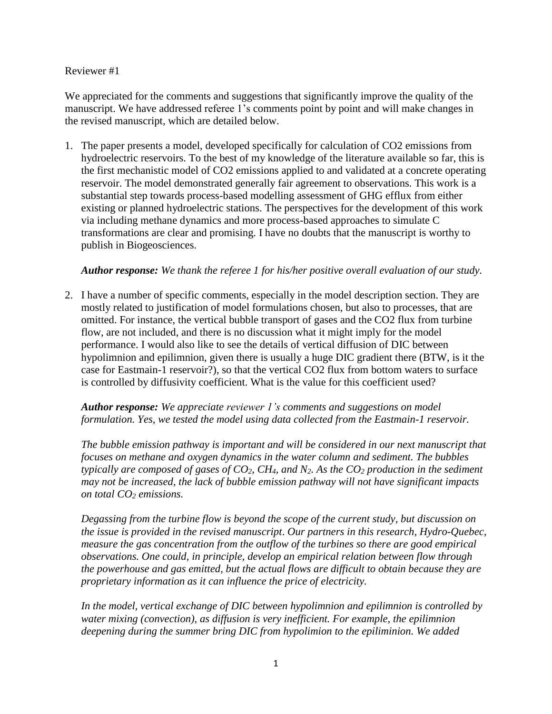### Reviewer #1

We appreciated for the comments and suggestions that significantly improve the quality of the manuscript. We have addressed referee 1's comments point by point and will make changes in the revised manuscript, which are detailed below.

1. The paper presents a model, developed specifically for calculation of CO2 emissions from hydroelectric reservoirs. To the best of my knowledge of the literature available so far, this is the first mechanistic model of CO2 emissions applied to and validated at a concrete operating reservoir. The model demonstrated generally fair agreement to observations. This work is a substantial step towards process-based modelling assessment of GHG efflux from either existing or planned hydroelectric stations. The perspectives for the development of this work via including methane dynamics and more process-based approaches to simulate C transformations are clear and promising. I have no doubts that the manuscript is worthy to publish in Biogeosciences.

# *Author response: We thank the referee 1 for his/her positive overall evaluation of our study.*

2. I have a number of specific comments, especially in the model description section. They are mostly related to justification of model formulations chosen, but also to processes, that are omitted. For instance, the vertical bubble transport of gases and the CO2 flux from turbine flow, are not included, and there is no discussion what it might imply for the model performance. I would also like to see the details of vertical diffusion of DIC between hypolimnion and epilimnion, given there is usually a huge DIC gradient there (BTW, is it the case for Eastmain-1 reservoir?), so that the vertical CO2 flux from bottom waters to surface is controlled by diffusivity coefficient. What is the value for this coefficient used?

# *Author response: We appreciate reviewer 1's comments and suggestions on model formulation. Yes, we tested the model using data collected from the Eastmain-1 reservoir.*

*The bubble emission pathway is important and will be considered in our next manuscript that focuses on methane and oxygen dynamics in the water column and sediment. The bubbles typically are composed of gases of CO2, CH4, and N2. As the CO<sup>2</sup> production in the sediment may not be increased, the lack of bubble emission pathway will not have significant impacts on total CO<sup>2</sup> emissions.* 

*Degassing from the turbine flow is beyond the scope of the current study, but discussion on the issue is provided in the revised manuscript*. *Our partners in this research, Hydro-Quebec, measure the gas concentration from the outflow of the turbines so there are good empirical observations. One could, in principle, develop an empirical relation between flow through the powerhouse and gas emitted, but the actual flows are difficult to obtain because they are proprietary information as it can influence the price of electricity.*

*In the model, vertical exchange of DIC between hypolimnion and epilimnion is controlled by water mixing (convection), as diffusion is very inefficient. For example, the epilimnion deepening during the summer bring DIC from hypolimion to the epiliminion. We added*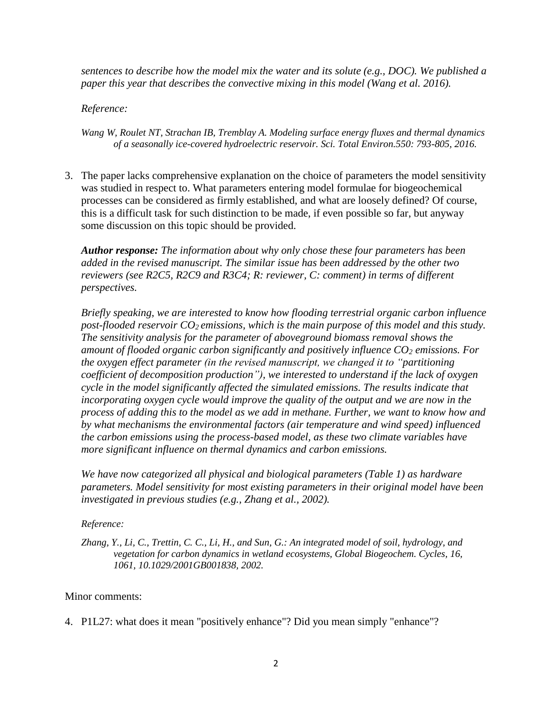*sentences to describe how the model mix the water and its solute (e.g., DOC). We published a paper this year that describes the convective mixing in this model (Wang et al. 2016).*

*Reference:*

*Wang W, Roulet NT, Strachan IB, Tremblay A. Modeling surface energy fluxes and thermal dynamics of a seasonally ice-covered hydroelectric reservoir. Sci. Total Environ.550: 793-805, 2016.*

3. The paper lacks comprehensive explanation on the choice of parameters the model sensitivity was studied in respect to. What parameters entering model formulae for biogeochemical processes can be considered as firmly established, and what are loosely defined? Of course, this is a difficult task for such distinction to be made, if even possible so far, but anyway some discussion on this topic should be provided.

*Author response: The information about why only chose these four parameters has been added in the revised manuscript. The similar issue has been addressed by the other two reviewers (see R2C5, R2C9 and R3C4; R: reviewer, C: comment) in terms of different perspectives.* 

*Briefly speaking, we are interested to know how flooding terrestrial organic carbon influence post-flooded reservoir CO2 emissions, which is the main purpose of this model and this study. The sensitivity analysis for the parameter of aboveground biomass removal shows the amount of flooded organic carbon significantly and positively influence CO<sup>2</sup> emissions. For the oxygen effect parameter (in the revised manuscript, we changed it to "partitioning coefficient of decomposition production"), we interested to understand if the lack of oxygen cycle in the model significantly affected the simulated emissions. The results indicate that incorporating oxygen cycle would improve the quality of the output and we are now in the process of adding this to the model as we add in methane. Further, we want to know how and by what mechanisms the environmental factors (air temperature and wind speed) influenced the carbon emissions using the process-based model, as these two climate variables have more significant influence on thermal dynamics and carbon emissions.*

*We have now categorized all physical and biological parameters (Table 1) as hardware parameters. Model sensitivity for most existing parameters in their original model have been investigated in previous studies (e.g., Zhang et al., 2002).*

*Reference:* 

*Zhang, Y., Li, C., Trettin, C. C., Li, H., and Sun, G.: An integrated model of soil, hydrology, and vegetation for carbon dynamics in wetland ecosystems, Global Biogeochem. Cycles, 16, 1061, 10.1029/2001GB001838, 2002.*

# Minor comments:

4. P1L27: what does it mean "positively enhance"? Did you mean simply "enhance"?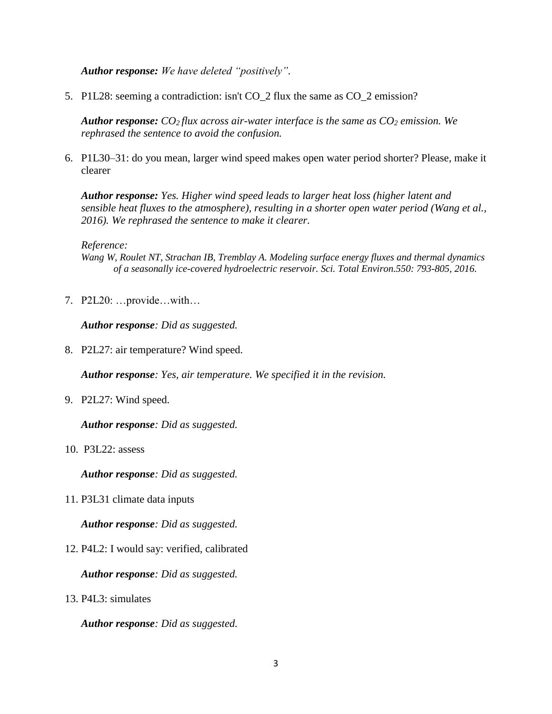*Author response: We have deleted "positively".* 

5. P1L28: seeming a contradiction: isn't CO\_2 flux the same as CO\_2 emission?

*Author response: CO2 flux across air-water interface is the same as CO<sup>2</sup> emission. We rephrased the sentence to avoid the confusion.*

6. P1L30–31: do you mean, larger wind speed makes open water period shorter? Please, make it clearer

*Author response: Yes. Higher wind speed leads to larger heat loss (higher latent and sensible heat fluxes to the atmosphere), resulting in a shorter open water period (Wang et al., 2016). We rephrased the sentence to make it clearer.* 

*Reference:*

*Wang W, Roulet NT, Strachan IB, Tremblay A. Modeling surface energy fluxes and thermal dynamics of a seasonally ice-covered hydroelectric reservoir. Sci. Total Environ.550: 793-805, 2016.*

7. P2L20: …provide…with…

*Author response: Did as suggested.* 

8. P2L27: air temperature? Wind speed.

*Author response: Yes, air temperature. We specified it in the revision.* 

9. P2L27: Wind speed.

*Author response: Did as suggested.* 

10. P3L22: assess

*Author response: Did as suggested.* 

11. P3L31 climate data inputs

*Author response: Did as suggested.*

12. P4L2: I would say: verified, calibrated

*Author response: Did as suggested.*

13. P4L3: simulates

*Author response: Did as suggested.*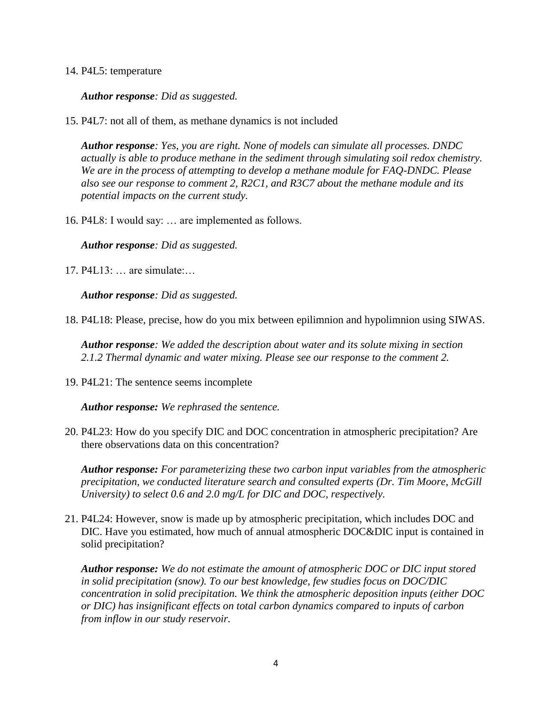### 14. P4L5: temperature

*Author response: Did as suggested.*

15. P4L7: not all of them, as methane dynamics is not included

*Author response: Yes, you are right. None of models can simulate all processes. DNDC actually is able to produce methane in the sediment through simulating soil redox chemistry. We are in the process of attempting to develop a methane module for FAQ-DNDC. Please also see our response to comment 2, R2C1, and R3C7 about the methane module and its potential impacts on the current study.*

16. P4L8: I would say: … are implemented as follows.

*Author response: Did as suggested.*

17. P4L13: … are simulate:…

*Author response: Did as suggested.*

18. P4L18: Please, precise, how do you mix between epilimnion and hypolimnion using SIWAS.

*Author response: We added the description about water and its solute mixing in section 2.1.2 Thermal dynamic and water mixing. Please see our response to the comment 2.*

19. P4L21: The sentence seems incomplete

*Author response: We rephrased the sentence.*

20. P4L23: How do you specify DIC and DOC concentration in atmospheric precipitation? Are there observations data on this concentration?

*Author response: For parameterizing these two carbon input variables from the atmospheric precipitation, we conducted literature search and consulted experts (Dr. Tim Moore, McGill University) to select 0.6 and 2.0 mg/L for DIC and DOC, respectively.* 

21. P4L24: However, snow is made up by atmospheric precipitation, which includes DOC and DIC. Have you estimated, how much of annual atmospheric DOC&DIC input is contained in solid precipitation?

*Author response: We do not estimate the amount of atmospheric DOC or DIC input stored in solid precipitation (snow). To our best knowledge, few studies focus on DOC/DIC concentration in solid precipitation. We think the atmospheric deposition inputs (either DOC or DIC) has insignificant effects on total carbon dynamics compared to inputs of carbon from inflow in our study reservoir.*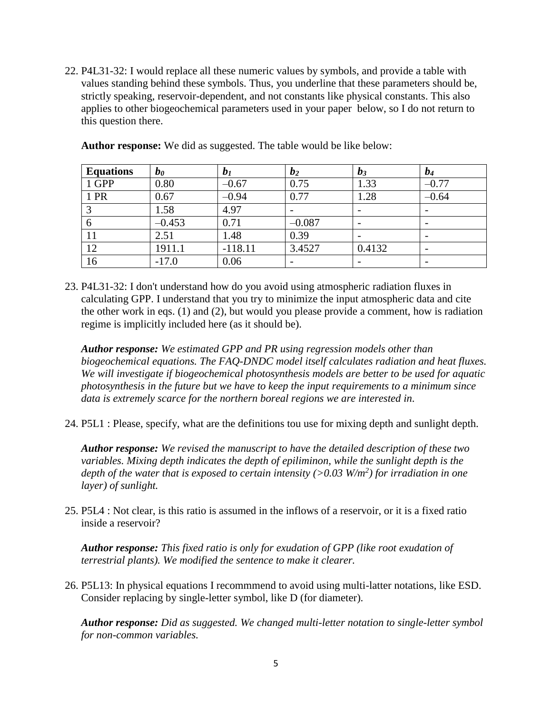22. P4L31-32: I would replace all these numeric values by symbols, and provide a table with values standing behind these symbols. Thus, you underline that these parameters should be, strictly speaking, reservoir-dependent, and not constants like physical constants. This also applies to other biogeochemical parameters used in your paper below, so I do not return to this question there.

| <b>Equations</b> | $\bm{b_0}$ | b <sub>I</sub> | b <sub>2</sub> | $b_3$  | $b_4$   |
|------------------|------------|----------------|----------------|--------|---------|
| 1 GPP            | 0.80       | $-0.67$        | 0.75           | 1.33   | $-0.77$ |
| 1 PR             | 0.67       | $-0.94$        | 0.77           | 1.28   | $-0.64$ |
| $\mathbf{c}$     | 1.58       | 4.97           |                |        |         |
| 6                | $-0.453$   | 0.71           | $-0.087$       |        |         |
| 11               | 2.51       | 1.48           | 0.39           |        |         |
| 12               | 1911.1     | $-118.11$      | 3.4527         | 0.4132 |         |
| 16               | $-17.0$    | 0.06           |                |        |         |

**Author response:** We did as suggested. The table would be like below:

23. P4L31-32: I don't understand how do you avoid using atmospheric radiation fluxes in calculating GPP. I understand that you try to minimize the input atmospheric data and cite the other work in eqs. (1) and (2), but would you please provide a comment, how is radiation regime is implicitly included here (as it should be).

*Author response: We estimated GPP and PR using regression models other than biogeochemical equations. The FAQ-DNDC model itself calculates radiation and heat fluxes. We will investigate if biogeochemical photosynthesis models are better to be used for aquatic photosynthesis in the future but we have to keep the input requirements to a minimum since data is extremely scarce for the northern boreal regions we are interested in.* 

24. P5L1 : Please, specify, what are the definitions tou use for mixing depth and sunlight depth.

*Author response: We revised the manuscript to have the detailed description of these two variables. Mixing depth indicates the depth of epiliminon, while the sunlight depth is the depth of the water that is exposed to certain intensity (>0.03 W/m<sup>2</sup> ) for irradiation in one layer) of sunlight.*

25. P5L4 : Not clear, is this ratio is assumed in the inflows of a reservoir, or it is a fixed ratio inside a reservoir?

*Author response: This fixed ratio is only for exudation of GPP (like root exudation of terrestrial plants). We modified the sentence to make it clearer.*

26. P5L13: In physical equations I recommmend to avoid using multi-latter notations, like ESD. Consider replacing by single-letter symbol, like D (for diameter).

*Author response: Did as suggested. We changed multi-letter notation to single-letter symbol for non-common variables.*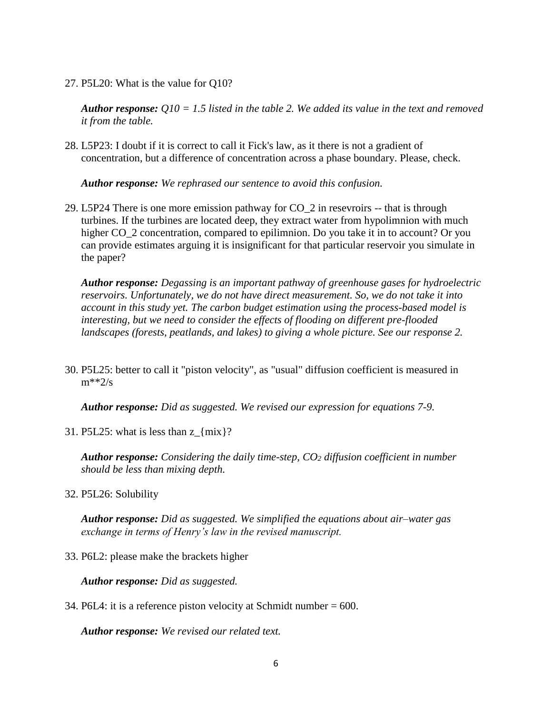### 27. P5L20: What is the value for Q10?

*Author response: Q10 = 1.5 listed in the table 2. We added its value in the text and removed it from the table.*

28. L5P23: I doubt if it is correct to call it Fick's law, as it there is not a gradient of concentration, but a difference of concentration across a phase boundary. Please, check.

*Author response: We rephrased our sentence to avoid this confusion.*

29. L5P24 There is one more emission pathway for CO\_2 in resevroirs -- that is through turbines. If the turbines are located deep, they extract water from hypolimnion with much higher CO<sub>\_2</sub> concentration, compared to epilimnion. Do you take it in to account? Or you can provide estimates arguing it is insignificant for that particular reservoir you simulate in the paper?

*Author response: Degassing is an important pathway of greenhouse gases for hydroelectric reservoirs. Unfortunately, we do not have direct measurement. So, we do not take it into account in this study yet. The carbon budget estimation using the process-based model is interesting, but we need to consider the effects of flooding on different pre-flooded landscapes (forests, peatlands, and lakes) to giving a whole picture. See our response 2.*

30. P5L25: better to call it "piston velocity", as "usual" diffusion coefficient is measured in  $m^{**}2/s$ 

*Author response: Did as suggested. We revised our expression for equations 7-9.* 

31. P5L25: what is less than  $z_{\text{max}}$ ?

*Author response: Considering the daily time-step, CO<sup>2</sup> diffusion coefficient in number should be less than mixing depth.*

32. P5L26: Solubility

*Author response: Did as suggested. We simplified the equations about air–water gas exchange in terms of Henry's law in the revised manuscript.* 

33. P6L2: please make the brackets higher

*Author response: Did as suggested.*

34. P6L4: it is a reference piston velocity at Schmidt number = 600.

*Author response: We revised our related text.*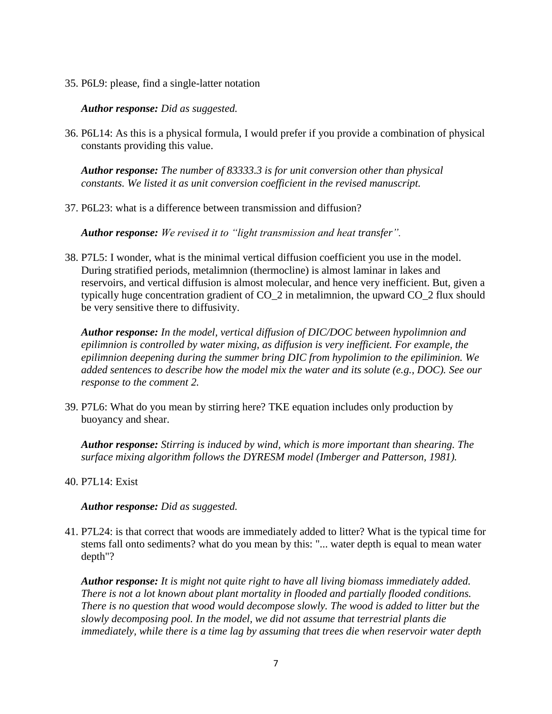35. P6L9: please, find a single-latter notation

*Author response: Did as suggested.*

36. P6L14: As this is a physical formula, I would prefer if you provide a combination of physical constants providing this value.

*Author response: The number of 83333.3 is for unit conversion other than physical constants. We listed it as unit conversion coefficient in the revised manuscript.*

37. P6L23: what is a difference between transmission and diffusion?

*Author response: We revised it to "light transmission and heat transfer".*

38. P7L5: I wonder, what is the minimal vertical diffusion coefficient you use in the model. During stratified periods, metalimnion (thermocline) is almost laminar in lakes and reservoirs, and vertical diffusion is almost molecular, and hence very inefficient. But, given a typically huge concentration gradient of CO\_2 in metalimnion, the upward CO\_2 flux should be very sensitive there to diffusivity.

*Author response: In the model, vertical diffusion of DIC/DOC between hypolimnion and epilimnion is controlled by water mixing, as diffusion is very inefficient. For example, the epilimnion deepening during the summer bring DIC from hypolimion to the epiliminion. We added sentences to describe how the model mix the water and its solute (e.g., DOC). See our response to the comment 2.*

39. P7L6: What do you mean by stirring here? TKE equation includes only production by buoyancy and shear.

*Author response: Stirring is induced by wind, which is more important than shearing. The surface mixing algorithm follows the DYRESM model (Imberger and Patterson, 1981).*

40. P7L14: Exist

*Author response: Did as suggested.*

41. P7L24: is that correct that woods are immediately added to litter? What is the typical time for stems fall onto sediments? what do you mean by this: "... water depth is equal to mean water depth"?

*Author response: It is might not quite right to have all living biomass immediately added. There is not a lot known about plant mortality in flooded and partially flooded conditions. There is no question that wood would decompose slowly. The wood is added to litter but the slowly decomposing pool. In the model, we did not assume that terrestrial plants die immediately, while there is a time lag by assuming that trees die when reservoir water depth*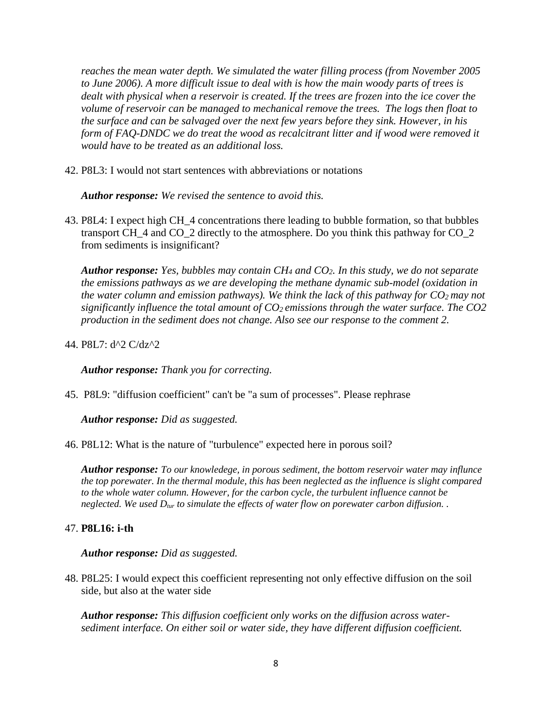*reaches the mean water depth. We simulated the water filling process (from November 2005 to June 2006). A more difficult issue to deal with is how the main woody parts of trees is*  dealt with physical when a reservoir is created. If the trees are frozen into the ice cover the *volume of reservoir can be managed to mechanical remove the trees. The logs then float to the surface and can be salvaged over the next few years before they sink. However, in his form of FAQ-DNDC we do treat the wood as recalcitrant litter and if wood were removed it would have to be treated as an additional loss.*

42. P8L3: I would not start sentences with abbreviations or notations

*Author response: We revised the sentence to avoid this.* 

43. P8L4: I expect high CH\_4 concentrations there leading to bubble formation, so that bubbles transport CH\_4 and CO\_2 directly to the atmosphere. Do you think this pathway for CO\_2 from sediments is insignificant?

*Author response: Yes, bubbles may contain CH<sup>4</sup> and CO2. In this study, we do not separate the emissions pathways as we are developing the methane dynamic sub-model (oxidation in the water column and emission pathways). We think the lack of this pathway for CO2 may not significantly influence the total amount of CO2 emissions through the water surface. The CO2 production in the sediment does not change. Also see our response to the comment 2.* 

44. P8L7: d^2 C/dz^2

*Author response: Thank you for correcting.*

45. P8L9: "diffusion coefficient" can't be "a sum of processes". Please rephrase

*Author response: Did as suggested.*

46. P8L12: What is the nature of "turbulence" expected here in porous soil?

*Author response: To our knowledege, in porous sediment, the bottom reservoir water may influnce the top porewater. In the thermal module, this has been neglected as the influence is slight compared to the whole water column. However, for the carbon cycle, the turbulent influence cannot be neglected. We used Dtur to simulate the effects of water flow on porewater carbon diffusion. .* 

## 47. **P8L16: i-th**

*Author response: Did as suggested.*

48. P8L25: I would expect this coefficient representing not only effective diffusion on the soil side, but also at the water side

*Author response: This diffusion coefficient only works on the diffusion across watersediment interface. On either soil or water side, they have different diffusion coefficient.*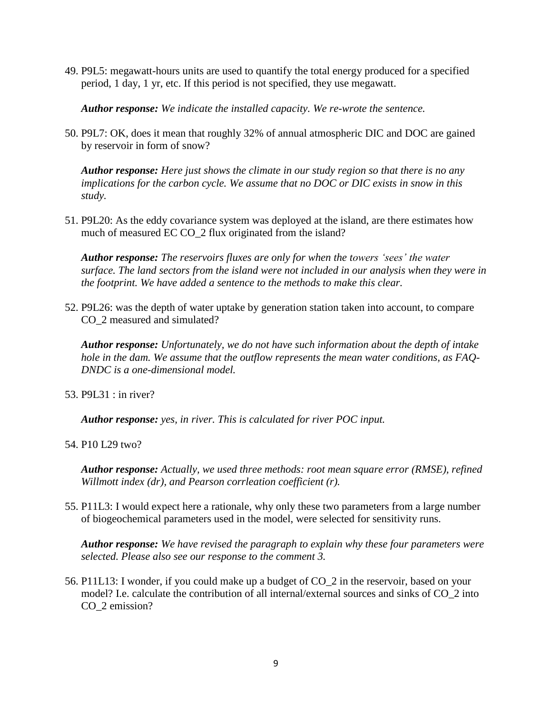49. P9L5: megawatt-hours units are used to quantify the total energy produced for a specified period, 1 day, 1 yr, etc. If this period is not specified, they use megawatt.

*Author response: We indicate the installed capacity. We re-wrote the sentence.* 

50. P9L7: OK, does it mean that roughly 32% of annual atmospheric DIC and DOC are gained by reservoir in form of snow?

*Author response: Here just shows the climate in our study region so that there is no any implications for the carbon cycle. We assume that no DOC or DIC exists in snow in this study.* 

51. P9L20: As the eddy covariance system was deployed at the island, are there estimates how much of measured EC CO\_2 flux originated from the island?

*Author response: The reservoirs fluxes are only for when the towers 'sees' the water surface. The land sectors from the island were not included in our analysis when they were in the footprint. We have added a sentence to the methods to make this clear.*

52. P9L26: was the depth of water uptake by generation station taken into account, to compare CO\_2 measured and simulated?

*Author response: Unfortunately, we do not have such information about the depth of intake hole in the dam. We assume that the outflow represents the mean water conditions, as FAQ-DNDC is a one-dimensional model.* 

53. P9L31 : in river?

*Author response: yes, in river. This is calculated for river POC input.* 

54. P10 L29 two?

*Author response: Actually, we used three methods: root mean square error (RMSE), refined Willmott index (dr), and Pearson corrleation coefficient (r).* 

55. P11L3: I would expect here a rationale, why only these two parameters from a large number of biogeochemical parameters used in the model, were selected for sensitivity runs.

*Author response: We have revised the paragraph to explain why these four parameters were selected. Please also see our response to the comment 3.* 

56. P11L13: I wonder, if you could make up a budget of CO\_2 in the reservoir, based on your model? I.e. calculate the contribution of all internal/external sources and sinks of CO\_2 into CO\_2 emission?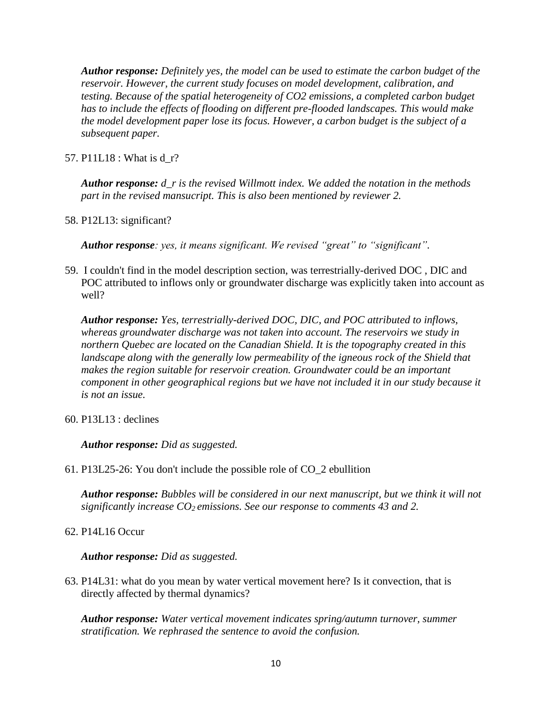*Author response: Definitely yes, the model can be used to estimate the carbon budget of the reservoir. However, the current study focuses on model development, calibration, and testing. Because of the spatial heterogeneity of CO2 emissions, a completed carbon budget*  has to include the effects of flooding on different pre-flooded landscapes. This would make *the model development paper lose its focus. However, a carbon budget is the subject of a subsequent paper.* 

57. P11L18 : What is d\_r?

*Author response: d\_r is the revised Willmott index. We added the notation in the methods part in the revised mansucript. This is also been mentioned by reviewer 2.* 

58. P12L13: significant?

*Author response: yes, it means significant. We revised "great" to "significant".*

59. I couldn't find in the model description section, was terrestrially-derived DOC , DIC and POC attributed to inflows only or groundwater discharge was explicitly taken into account as well?

*Author response: Yes, terrestrially-derived DOC, DIC, and POC attributed to inflows, whereas groundwater discharge was not taken into account. The reservoirs we study in northern Quebec are located on the Canadian Shield. It is the topography created in this landscape along with the generally low permeability of the igneous rock of the Shield that makes the region suitable for reservoir creation. Groundwater could be an important component in other geographical regions but we have not included it in our study because it is not an issue.*

60. P13L13 : declines

*Author response: Did as suggested.*

61. P13L25-26: You don't include the possible role of CO\_2 ebullition

*Author response: Bubbles will be considered in our next manuscript, but we think it will not significantly increase CO2 emissions. See our response to comments 43 and 2.*

62. P14L16 Occur

*Author response: Did as suggested.*

63. P14L31: what do you mean by water vertical movement here? Is it convection, that is directly affected by thermal dynamics?

*Author response: Water vertical movement indicates spring/autumn turnover, summer stratification. We rephrased the sentence to avoid the confusion.*